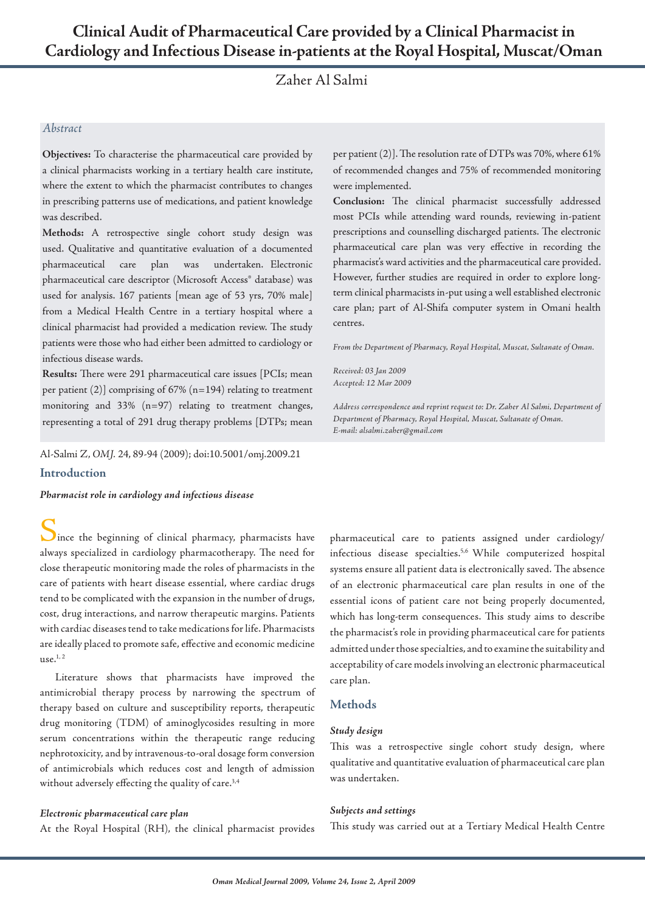# **Clinical Audit of Pharmaceutical Care provided by a Clinical Pharmacist in Cardiology and Infectious Disease in-patients at the Royal Hospital, Muscat/Oman**

Zaher Al Salmi

## *Abstract*

**Objectives:** To characterise the pharmaceutical care provided by a clinical pharmacists working in a tertiary health care institute, where the extent to which the pharmacist contributes to changes in prescribing patterns use of medications, and patient knowledge was described.

**Methods:** A retrospective single cohort study design was used. Qualitative and quantitative evaluation of a documented pharmaceutical care plan was undertaken. Electronic pharmaceutical care descriptor (Microsoft Access® database) was used for analysis. 167 patients [mean age of 53 yrs, 70% male] from a Medical Health Centre in a tertiary hospital where a clinical pharmacist had provided a medication review. The study patients were those who had either been admitted to cardiology or infectious disease wards.

**Results:** There were 291 pharmaceutical care issues [PCIs; mean per patient (2)] comprising of 67% (n=194) relating to treatment monitoring and 33% (n=97) relating to treatment changes, representing a total of 291 drug therapy problems [DTPs; mean

Al-Salmi Z, *OMJ.* 24, 89-94 (2009); doi:10.5001/omj.2009.21

## **Introduction**

*Pharmacist role in cardiology and infectious disease*

 $\sum$  ince the beginning of clinical pharmacy, pharmacists have always specialized in cardiology pharmacotherapy. The need for close therapeutic monitoring made the roles of pharmacists in the care of patients with heart disease essential, where cardiac drugs tend to be complicated with the expansion in the number of drugs, cost, drug interactions, and narrow therapeutic margins. Patients with cardiac diseases tend to take medications for life. Pharmacists are ideally placed to promote safe, effective and economic medicine use. $1, 2$ 

Literature shows that pharmacists have improved the antimicrobial therapy process by narrowing the spectrum of therapy based on culture and susceptibility reports, therapeutic drug monitoring (TDM) of aminoglycosides resulting in more serum concentrations within the therapeutic range reducing nephrotoxicity, and by intravenous-to-oral dosage form conversion of antimicrobials which reduces cost and length of admission without adversely effecting the quality of care.<sup>3,4</sup>

#### *Electronic pharmaceutical care plan*

At the Royal Hospital (RH), the clinical pharmacist provides

per patient (2)]. The resolution rate of DTPs was 70%, where 61% of recommended changes and 75% of recommended monitoring were implemented.

**Conclusion:** The clinical pharmacist successfully addressed most PCIs while attending ward rounds, reviewing in-patient prescriptions and counselling discharged patients. The electronic pharmaceutical care plan was very effective in recording the pharmacist's ward activities and the pharmaceutical care provided. However, further studies are required in order to explore longterm clinical pharmacists in-put using a well established electronic care plan; part of Al-Shifa computer system in Omani health centres.

*From the Department of Pharmacy, Royal Hospital, Muscat, Sultanate of Oman.*

*Received: 03 Jan 2009 Accepted: 12 Mar 2009*

*Address correspondence and reprint request to: Dr. Zaher Al Salmi, Department of Department of Pharmacy, Royal Hospital, Muscat, Sultanate of Oman. E-mail: alsalmi.zaher@gmail.com*

pharmaceutical care to patients assigned under cardiology/ infectious disease specialties.<sup>5,6</sup> While computerized hospital systems ensure all patient data is electronically saved. The absence of an electronic pharmaceutical care plan results in one of the essential icons of patient care not being properly documented, which has long-term consequences. This study aims to describe the pharmacist's role in providing pharmaceutical care for patients admitted under those specialties, and to examine the suitability and acceptability of care models involving an electronic pharmaceutical care plan.

## **Methods**

#### *Study design*

This was a retrospective single cohort study design, where qualitative and quantitative evaluation of pharmaceutical care plan was undertaken.

#### *Subjects and settings*

This study was carried out at a Tertiary Medical Health Centre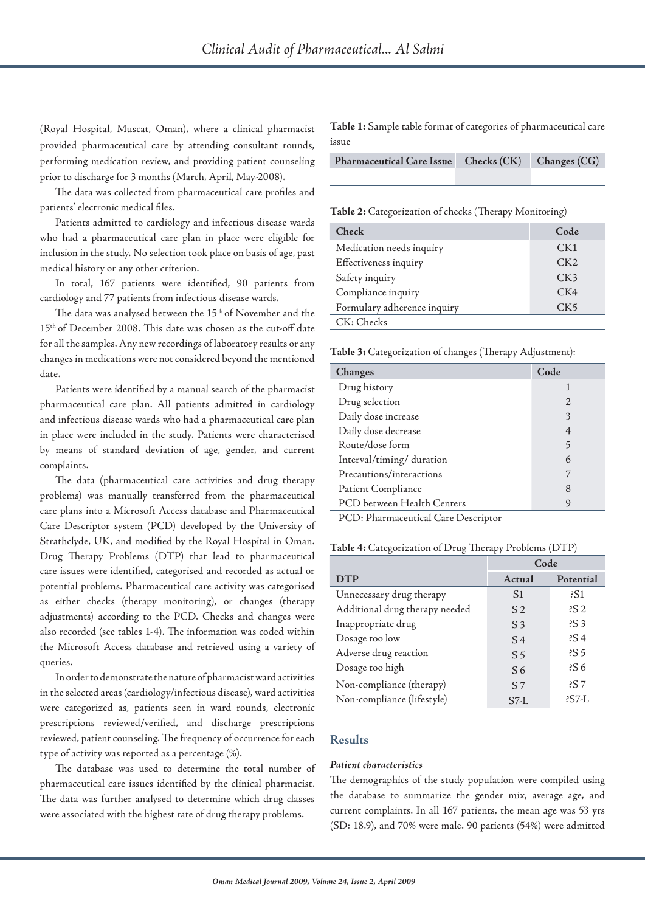(Royal Hospital, Muscat, Oman), where a clinical pharmacist provided pharmaceutical care by attending consultant rounds, performing medication review, and providing patient counseling prior to discharge for 3 months (March, April, May-2008).

The data was collected from pharmaceutical care profiles and patients' electronic medical files.

Patients admitted to cardiology and infectious disease wards who had a pharmaceutical care plan in place were eligible for inclusion in the study. No selection took place on basis of age, past medical history or any other criterion.

In total, 167 patients were identified, 90 patients from cardiology and 77 patients from infectious disease wards.

The data was analysed between the 15<sup>th</sup> of November and the 15th of December 2008. This date was chosen as the cut-off date for all the samples. Any new recordings of laboratory results or any changes in medications were not considered beyond the mentioned date.

Patients were identified by a manual search of the pharmacist pharmaceutical care plan. All patients admitted in cardiology and infectious disease wards who had a pharmaceutical care plan in place were included in the study. Patients were characterised by means of standard deviation of age, gender, and current complaints.

The data (pharmaceutical care activities and drug therapy problems) was manually transferred from the pharmaceutical care plans into a Microsoft Access database and Pharmaceutical Care Descriptor system (PCD) developed by the University of Strathclyde, UK, and modified by the Royal Hospital in Oman. Drug Therapy Problems (DTP) that lead to pharmaceutical care issues were identified, categorised and recorded as actual or potential problems. Pharmaceutical care activity was categorised as either checks (therapy monitoring), or changes (therapy adjustments) according to the PCD. Checks and changes were also recorded (see tables 1-4). The information was coded within the Microsoft Access database and retrieved using a variety of queries.

In order to demonstrate the nature of pharmacist ward activities in the selected areas (cardiology/infectious disease), ward activities were categorized as, patients seen in ward rounds, electronic prescriptions reviewed/verified, and discharge prescriptions reviewed, patient counseling. The frequency of occurrence for each type of activity was reported as a percentage (%).

The database was used to determine the total number of pharmaceutical care issues identified by the clinical pharmacist. The data was further analysed to determine which drug classes were associated with the highest rate of drug therapy problems.

**Table 1:** Sample table format of categories of pharmaceutical care issue

| Pharmaceutical Care Issue Checks (CK) Changes (CG) |  |
|----------------------------------------------------|--|
|                                                    |  |

**Table 2:** Categorization of checks (Therapy Monitoring)

| Check                       | Code            |
|-----------------------------|-----------------|
| Medication needs inquiry    | CK1             |
| Effectiveness inquiry       | CK2             |
| Safety inquiry              | CK3             |
| Compliance inquiry          | CK4             |
| Formulary adherence inquiry | CK <sub>5</sub> |
| CK: Checks                  |                 |

**Table 3:** Categorization of changes (Therapy Adjustment):

| Changes                             | Code |
|-------------------------------------|------|
| Drug history                        | 1    |
| Drug selection                      | 2    |
| Daily dose increase                 | 3    |
| Daily dose decrease                 | 4    |
| Route/dose form                     | 5    |
| Interval/timing/ duration           | 6    |
| Precautions/interactions            | 7    |
| Patient Compliance                  | 8    |
| PCD between Health Centers          | 9    |
| PCD: Pharmaceutical Care Descriptor |      |

#### **Table 4:** Categorization of Drug Therapy Problems (DTP)

|                                | Code           |                 |
|--------------------------------|----------------|-----------------|
| <b>DTP</b>                     | Actual         | Potential       |
| Unnecessary drug therapy       | S <sub>1</sub> | ?S1             |
| Additional drug therapy needed | S <sub>2</sub> | ES2             |
| Inappropriate drug             | S <sub>3</sub> | $\dot{S}$ 3     |
| Dosage too low                 | $S_4$          | $\frac{2}{5}$   |
| Adverse drug reaction          | S <sub>5</sub> | $\frac{2}{5}$   |
| Dosage too high                | S <sub>6</sub> | $\frac{2}{5}$ 6 |
| Non-compliance (therapy)       | S <sub>7</sub> | 2S <sub>7</sub> |
| Non-compliance (lifestyle)     | $S7-I$         | ?S7-L           |

# **Results**

### *Patient characteristics*

The demographics of the study population were compiled using the database to summarize the gender mix, average age, and current complaints. In all 167 patients, the mean age was 53 yrs (SD: 18.9), and 70% were male. 90 patients (54%) were admitted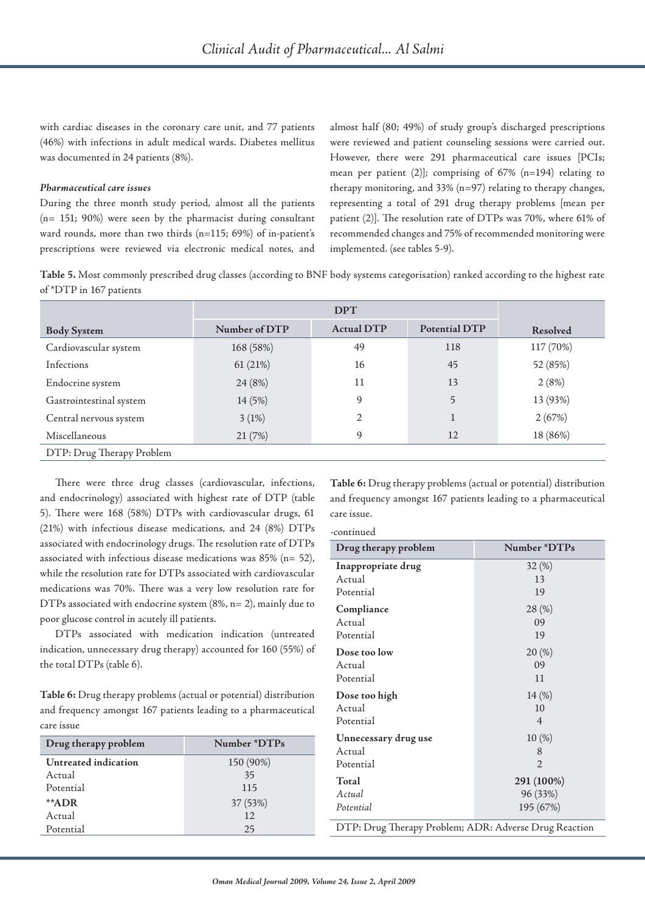with cardiac diseases in the coronary care unit, and 77 patients (46%) with infections in adult medical wards. Diabetes mellitus was documented in 24 patients (8%).

### *Pharmaceutical care issues*

During the three month study period, almost all the patients (n= 151; 90%) were seen by the pharmacist during consultant ward rounds, more than two thirds (n=115; 69%) of in-patient's prescriptions were reviewed via electronic medical notes, and

almost half (80; 49%) of study group's discharged prescriptions were reviewed and patient counseling sessions were carried out. However, there were 291 pharmaceutical care issues [PCIs; mean per patient (2)]; comprising of 67% (n=194) relating to therapy monitoring, and 33% (n=97) relating to therapy changes, representing a total of 291 drug therapy problems [mean per patient (2)]. The resolution rate of DTPs was 70%, where 61% of recommended changes and 75% of recommended monitoring were implemented. (see tables 5-9).

**Table 5.** Most commonly prescribed drug classes (according to BNF body systems categorisation) ranked according to the highest rate of \*DTP in 167 patients

|                           | <b>DPT</b>    |                   |               |           |
|---------------------------|---------------|-------------------|---------------|-----------|
| <b>Body System</b>        | Number of DTP | <b>Actual DTP</b> | Potential DTP | Resolved  |
| Cardiovascular system     | 168 (58%)     | 49                | 118           | 117 (70%) |
| Infections                | 61(21%)       | 16                | 45            | 52 (85%)  |
| Endocrine system          | 24 (8%)       | 11                | 13            | 2(8%)     |
| Gastrointestinal system   | 14 (5%)       | 9                 | 5             | 13 (93%)  |
| Central nervous system    | 3(1%)         | $\overline{2}$    |               | 2(67%)    |
| Miscellaneous             | 21 (7%)       | 9                 | 12            | 18 (86%)  |
| DTP: Drug Therapy Problem |               |                   |               |           |

There were three drug classes (cardiovascular, infections, and endocrinology) associated with highest rate of DTP (table 5). There were 168 (58%) DTPs with cardiovascular drugs, 61 (21%) with infectious disease medications, and 24 (8%) DTPs associated with endocrinology drugs. The resolution rate of DTPs associated with infectious disease medications was 85% (n= 52), while the resolution rate for DTPs associated with cardiovascular medications was 70%. There was a very low resolution rate for DTPs associated with endocrine system (8%, n= 2), mainly due to poor glucose control in acutely ill patients.

DTPs associated with medication indication (untreated indication, unnecessary drug therapy) accounted for 160 (55%) of the total DTPs (table 6).

**Table 6:** Drug therapy problems (actual or potential) distribution and frequency amongst 167 patients leading to a pharmaceutical care issue

| Drug therapy problem | Number *DTPs |
|----------------------|--------------|
| Untreated indication | 150 (90%)    |
| Actual               | 35           |
| Potential            | 115          |
| **ADR                | 37 (53%)     |
| Actual               | 12           |
| Potential            | 25           |

**Table 6:** Drug therapy problems (actual or potential) distribution and frequency amongst 167 patients leading to a pharmaceutical care issue.

| Drug therapy problem | Number *DTPs             |
|----------------------|--------------------------|
| Inappropriate drug   | 32(%)                    |
| Actual               | 13                       |
| Potential            | 19                       |
| Compliance           | 28 (%)                   |
| Actual               | 09                       |
| Potential            | 19                       |
| Dose too low         | 20(%)                    |
| Actual               | 09                       |
| Potential            | 11                       |
| Dose too high        | 14 <sub>(%)</sub>        |
| Actual               | 10                       |
| Potential            | $\overline{4}$           |
| Unnecessary drug use | 10(%)                    |
| Actual               | 8                        |
| Potential            | $\mathfrak{D}$           |
| Total                | 291 (100%)               |
| Actual               | 96 (33%)                 |
| Potential            | 195 (67%)                |
| $\mathbf{\tau}$      | $\Lambda$ DD $\Lambda$ 1 |
| $\mathbf{D}$ 11      | $\mathbf{D}$             |
| DTD D                | $\mathbf{D}$             |

DTP: Drug Therapy Problem; ADR: Adverse Drug Reaction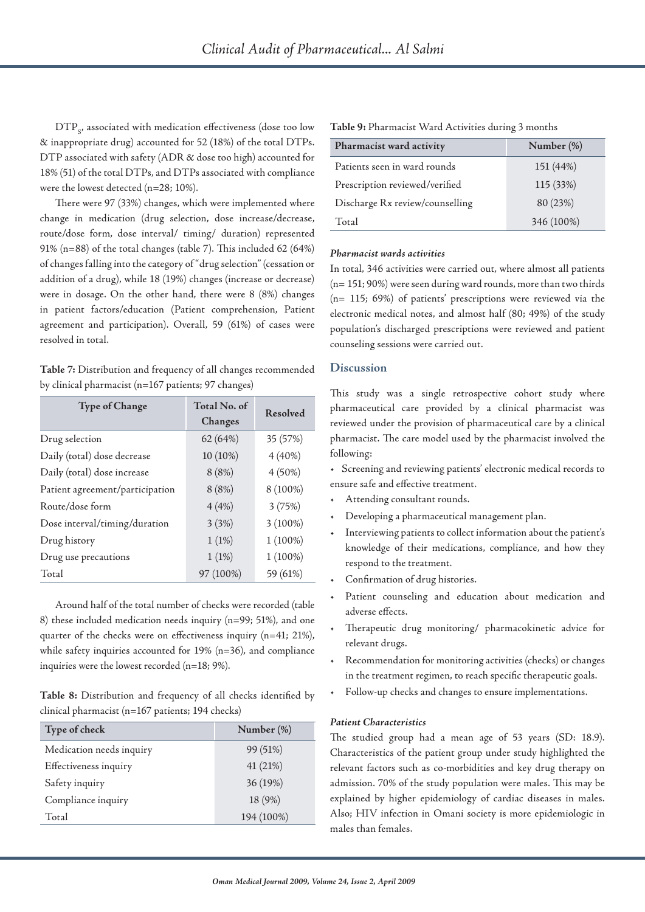$DTP<sub>cf</sub>$  associated with medication effectiveness (dose too low & inappropriate drug) accounted for 52 (18%) of the total DTPs. DTP associated with safety (ADR & dose too high) accounted for 18% (51) of the total DTPs, and DTPs associated with compliance were the lowest detected (n=28; 10%).

There were 97 (33%) changes, which were implemented where change in medication (drug selection, dose increase/decrease, route/dose form, dose interval/ timing/ duration) represented 91% (n=88) of the total changes (table 7). This included 62 (64%) of changes falling into the category of "drug selection" (cessation or addition of a drug), while 18 (19%) changes (increase or decrease) were in dosage. On the other hand, there were 8 (8%) changes in patient factors/education (Patient comprehension, Patient agreement and participation). Overall, 59 (61%) of cases were resolved in total.

**Table 7:** Distribution and frequency of all changes recommended by clinical pharmacist (n=167 patients; 97 changes)

| <b>Type of Change</b>           | Total No. of<br>Changes | Resolved   |
|---------------------------------|-------------------------|------------|
| Drug selection                  | 62 (64%)                | 35 (57%)   |
| Daily (total) dose decrease     | 10 (10%)                | $4(40\%)$  |
| Daily (total) dose increase     | 8(8%)                   | $4(50\%)$  |
| Patient agreement/participation | 8(8%)                   | 8 (100%)   |
| Route/dose form                 | 4(4%)                   | 3(75%)     |
| Dose interval/timing/duration   | 3(3%)                   | $3(100\%)$ |
| Drug history                    | 1(1%)                   | $1(100\%)$ |
| Drug use precautions            | 1(1%)                   | $1(100\%)$ |
| Total                           | 97 (100%)               | 59 (61%)   |

Around half of the total number of checks were recorded (table 8) these included medication needs inquiry (n=99; 51%), and one quarter of the checks were on effectiveness inquiry (n=41; 21%), while safety inquiries accounted for 19% (n=36), and compliance inquiries were the lowest recorded (n=18; 9%).

**Table 8:** Distribution and frequency of all checks identified by clinical pharmacist (n=167 patients; 194 checks)

| Type of check            | Number (%) |
|--------------------------|------------|
| Medication needs inquiry | 99 (51%)   |
| Effectiveness inquiry    | 41 (21%)   |
| Safety inquiry           | 36 (19%)   |
| Compliance inquiry       | 18 (9%)    |
| Total                    | 194 (100%) |

| Table 9: Pharmacist Ward Activities during 3 months |  |  |  |
|-----------------------------------------------------|--|--|--|
|-----------------------------------------------------|--|--|--|

| Pharmacist ward activity        | Number $(\%)$ |
|---------------------------------|---------------|
| Patients seen in ward rounds    | 151 (44%)     |
| Prescription reviewed/verified  | 115 (33%)     |
| Discharge Rx review/counselling | 80 (23%)      |
| Total                           | 346 (100%)    |

#### *Pharmacist wards activities*

In total, 346 activities were carried out, where almost all patients (n= 151; 90%) were seen during ward rounds, more than two thirds (n= 115; 69%) of patients' prescriptions were reviewed via the electronic medical notes, and almost half (80; 49%) of the study population's discharged prescriptions were reviewed and patient counseling sessions were carried out.

## **Discussion**

This study was a single retrospective cohort study where pharmaceutical care provided by a clinical pharmacist was reviewed under the provision of pharmaceutical care by a clinical pharmacist. The care model used by the pharmacist involved the following:

- Screening and reviewing patients' electronic medical records to ensure safe and effective treatment.
- Attending consultant rounds.
- Developing a pharmaceutical management plan.
- Interviewing patients to collect information about the patient's knowledge of their medications, compliance, and how they respond to the treatment.
- Confirmation of drug histories.
- Patient counseling and education about medication and adverse effects.
- Therapeutic drug monitoring/ pharmacokinetic advice for relevant drugs.
- Recommendation for monitoring activities (checks) or changes in the treatment regimen, to reach specific therapeutic goals.
- Follow-up checks and changes to ensure implementations.

### *Patient Characteristics*

The studied group had a mean age of 53 years (SD: 18.9). Characteristics of the patient group under study highlighted the relevant factors such as co-morbidities and key drug therapy on admission. 70% of the study population were males. This may be explained by higher epidemiology of cardiac diseases in males. Also; HIV infection in Omani society is more epidemiologic in males than females.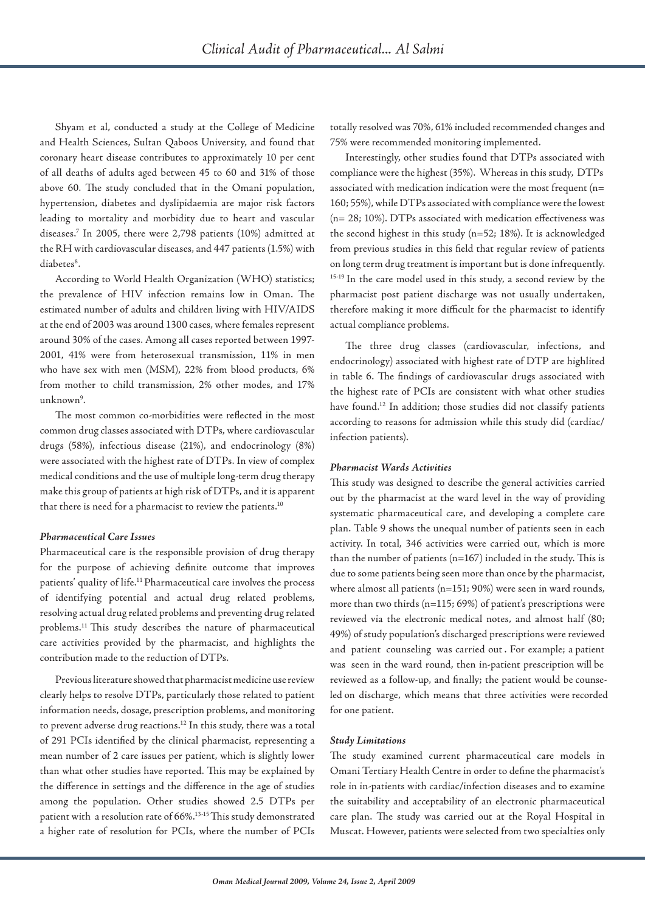Shyam et al, conducted a study at the College of Medicine and Health Sciences, Sultan Qaboos University, and found that coronary heart disease contributes to approximately 10 per cent of all deaths of adults aged between 45 to 60 and 31% of those above 60. The study concluded that in the Omani population, hypertension, diabetes and dyslipidaemia are major risk factors leading to mortality and morbidity due to heart and vascular diseases.7 In 2005, there were 2,798 patients (10%) admitted at the RH with cardiovascular diseases, and 447 patients (1.5%) with diabetes<sup>8</sup>.

According to World Health Organization (WHO) statistics; the prevalence of HIV infection remains low in Oman. The estimated number of adults and children living with HIV/AIDS at the end of 2003 was around 1300 cases, where females represent around 30% of the cases. Among all cases reported between 1997- 2001, 41% were from heterosexual transmission, 11% in men who have sex with men (MSM), 22% from blood products, 6% from mother to child transmission, 2% other modes, and 17% unknown<sup>9</sup>.

The most common co-morbidities were reflected in the most common drug classes associated with DTPs, where cardiovascular drugs (58%), infectious disease (21%), and endocrinology (8%) were associated with the highest rate of DTPs. In view of complex medical conditions and the use of multiple long-term drug therapy make this group of patients at high risk of DTPs, and it is apparent that there is need for a pharmacist to review the patients.<sup>10</sup>

#### *Pharmaceutical Care Issues*

Pharmaceutical care is the responsible provision of drug therapy for the purpose of achieving definite outcome that improves patients' quality of life.11 Pharmaceutical care involves the process of identifying potential and actual drug related problems, resolving actual drug related problems and preventing drug related problems.11 This study describes the nature of pharmaceutical care activities provided by the pharmacist, and highlights the contribution made to the reduction of DTPs.

Previous literature showed that pharmacist medicine use review clearly helps to resolve DTPs, particularly those related to patient information needs, dosage, prescription problems, and monitoring to prevent adverse drug reactions.<sup>12</sup> In this study, there was a total of 291 PCIs identified by the clinical pharmacist, representing a mean number of 2 care issues per patient, which is slightly lower than what other studies have reported. This may be explained by the difference in settings and the difference in the age of studies among the population. Other studies showed 2.5 DTPs per patient with a resolution rate of 66%.13-15 This study demonstrated a higher rate of resolution for PCIs, where the number of PCIs totally resolved was 70%, 61% included recommended changes and 75% were recommended monitoring implemented.

Interestingly, other studies found that DTPs associated with compliance were the highest (35%). Whereas in this study, DTPs associated with medication indication were the most frequent (n= 160; 55%), while DTPs associated with compliance were the lowest (n= 28; 10%). DTPs associated with medication effectiveness was the second highest in this study (n=52; 18%). It is acknowledged from previous studies in this field that regular review of patients on long term drug treatment is important but is done infrequently. <sup>15-19</sup> In the care model used in this study, a second review by the pharmacist post patient discharge was not usually undertaken, therefore making it more difficult for the pharmacist to identify actual compliance problems.

The three drug classes (cardiovascular, infections, and endocrinology) associated with highest rate of DTP are highlited in table 6. The findings of cardiovascular drugs associated with the highest rate of PCIs are consistent with what other studies have found.12 In addition; those studies did not classify patients according to reasons for admission while this study did (cardiac/ infection patients).

#### *Pharmacist Wards Activities*

This study was designed to describe the general activities carried out by the pharmacist at the ward level in the way of providing systematic pharmaceutical care, and developing a complete care plan. Table 9 shows the unequal number of patients seen in each activity. In total, 346 activities were carried out, which is more than the number of patients (n=167) included in the study. This is due to some patients being seen more than once by the pharmacist, where almost all patients (n=151; 90%) were seen in ward rounds, more than two thirds (n=115; 69%) of patient's prescriptions were reviewed via the electronic medical notes, and almost half (80; 49%) of study population's discharged prescriptions were reviewed and patient counseling was carried out . For example; a patient was seen in the ward round, then in-patient prescription will be reviewed as a follow-up, and finally; the patient would be counseled on discharge, which means that three activities were recorded for one patient.

#### *Study Limitations*

The study examined current pharmaceutical care models in Omani Tertiary Health Centre in order to define the pharmacist's role in in-patients with cardiac/infection diseases and to examine the suitability and acceptability of an electronic pharmaceutical care plan. The study was carried out at the Royal Hospital in Muscat. However, patients were selected from two specialties only